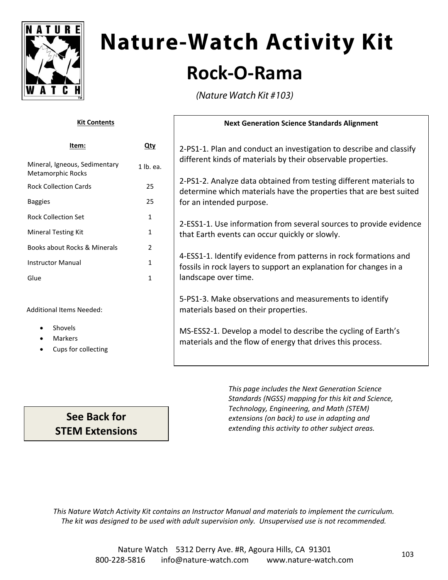

# **Nature-Watch Activity Kit Rock‐O‐Rama**

(Nature Watch Kit #103)

| <b>Kit Contents</b>                                |              | <b>Next Generation Science Standards Alignment</b>                                                                                       |
|----------------------------------------------------|--------------|------------------------------------------------------------------------------------------------------------------------------------------|
| Item:                                              | $Q$ ty       | 2-PS1-1. Plan and conduct an investigation to describe and classify                                                                      |
| Mineral, Igneous, Sedimentary<br>Metamorphic Rocks | 1 lb. ea.    | different kinds of materials by their observable properties.                                                                             |
| <b>Rock Collection Cards</b>                       | 25           | 2-PS1-2. Analyze data obtained from testing different materials to<br>determine which materials have the properties that are best suited |
| <b>Baggies</b>                                     | 25           | for an intended purpose.                                                                                                                 |
| <b>Rock Collection Set</b>                         | 1            | 2-ESS1-1. Use information from several sources to provide evidence                                                                       |
| <b>Mineral Testing Kit</b>                         | $\mathbf{1}$ | that Earth events can occur quickly or slowly.                                                                                           |
| Books about Rocks & Minerals                       | 2            |                                                                                                                                          |
| <b>Instructor Manual</b>                           | 1            | 4-ESS1-1. Identify evidence from patterns in rock formations and<br>fossils in rock layers to support an explanation for changes in a    |
| Glue                                               | $\mathbf{1}$ | landscape over time.                                                                                                                     |
| <b>Additional Items Needed:</b>                    |              | 5-PS1-3. Make observations and measurements to identify<br>materials based on their properties.                                          |
| Shovels<br>Markers<br>Cups for collecting          |              | MS-ESS2-1. Develop a model to describe the cycling of Earth's<br>materials and the flow of energy that drives this process.              |

*This page includes the Next Generation Science Standards (NGSS) mapping for this kit and Science, Technology, Engineering, and Math (STEM) extensions (on back) to use in adapting and extending this activity to other subject areas.*

*This Nature Watch Activity Kit contains an Instructor Manual and materials to implement the curriculum. The kit was designed to be used with adult supervision only. Unsupervised use is not recommended.*

**See Back for STEM Extensions**